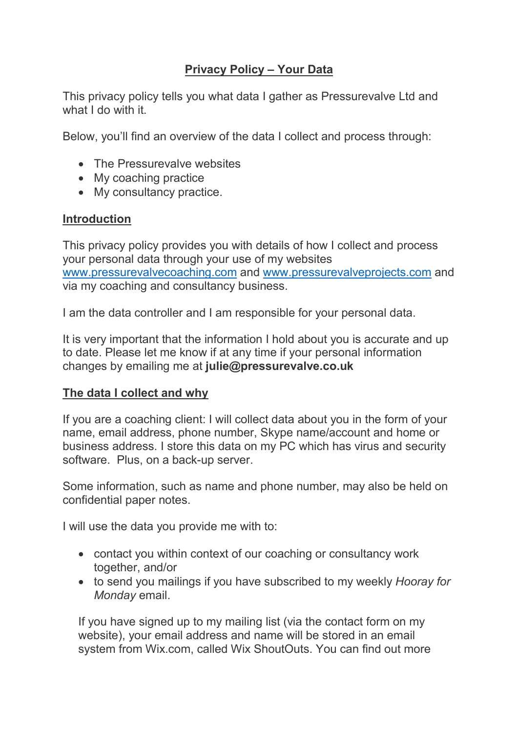# Privacy Policy – Your Data

This privacy policy tells you what data I gather as Pressurevalve Ltd and what I do with it.

Below, you'll find an overview of the data I collect and process through:

- The Pressurevalve websites
- My coaching practice
- My consultancy practice.

#### Introduction

This privacy policy provides you with details of how I collect and process your personal data through your use of my websites www.pressurevalvecoaching.com and www.pressurevalveprojects.com and via my coaching and consultancy business.

I am the data controller and I am responsible for your personal data.

It is very important that the information I hold about you is accurate and up to date. Please let me know if at any time if your personal information changes by emailing me at julie@pressurevalve.co.uk

#### The data I collect and why

If you are a coaching client: I will collect data about you in the form of your name, email address, phone number, Skype name/account and home or business address. I store this data on my PC which has virus and security software. Plus, on a back-up server.

Some information, such as name and phone number, may also be held on confidential paper notes.

I will use the data you provide me with to:

- contact you within context of our coaching or consultancy work together, and/or
- to send you mailings if you have subscribed to my weekly *Hooray for Monday* email.

If you have signed up to my mailing list (via the contact form on my website), your email address and name will be stored in an email system from Wix.com, called Wix ShoutOuts. You can find out more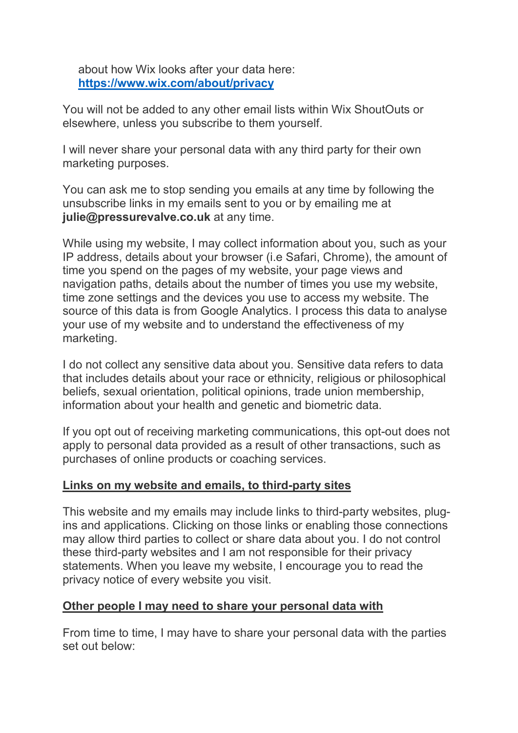about how Wix looks after your data here: https://www.wix.com/about/privacy

You will not be added to any other email lists within Wix ShoutOuts or elsewhere, unless you subscribe to them yourself.

I will never share your personal data with any third party for their own marketing purposes.

You can ask me to stop sending you emails at any time by following the unsubscribe links in my emails sent to you or by emailing me at julie@pressurevalve.co.uk at any time.

While using my website, I may collect information about you, such as your IP address, details about your browser (i.e Safari, Chrome), the amount of time you spend on the pages of my website, your page views and navigation paths, details about the number of times you use my website, time zone settings and the devices you use to access my website. The source of this data is from Google Analytics. I process this data to analyse your use of my website and to understand the effectiveness of my marketing.

I do not collect any sensitive data about you. Sensitive data refers to data that includes details about your race or ethnicity, religious or philosophical beliefs, sexual orientation, political opinions, trade union membership, information about your health and genetic and biometric data.

If you opt out of receiving marketing communications, this opt-out does not apply to personal data provided as a result of other transactions, such as purchases of online products or coaching services.

## Links on my website and emails, to third-party sites

This website and my emails may include links to third-party websites, plugins and applications. Clicking on those links or enabling those connections may allow third parties to collect or share data about you. I do not control these third-party websites and I am not responsible for their privacy statements. When you leave my website, I encourage you to read the privacy notice of every website you visit.

## Other people I may need to share your personal data with

From time to time, I may have to share your personal data with the parties set out below: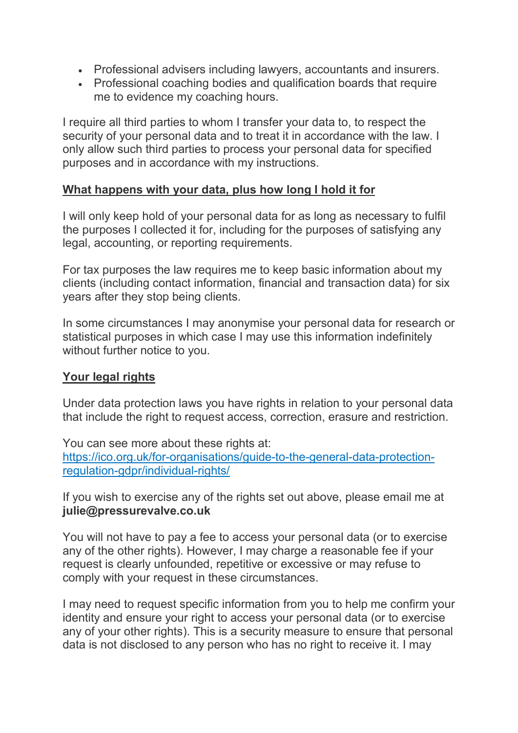- Professional advisers including lawyers, accountants and insurers.
- Professional coaching bodies and qualification boards that require me to evidence my coaching hours.

I require all third parties to whom I transfer your data to, to respect the security of your personal data and to treat it in accordance with the law. I only allow such third parties to process your personal data for specified purposes and in accordance with my instructions.

#### What happens with your data, plus how long I hold it for

I will only keep hold of your personal data for as long as necessary to fulfil the purposes I collected it for, including for the purposes of satisfying any legal, accounting, or reporting requirements.

For tax purposes the law requires me to keep basic information about my clients (including contact information, financial and transaction data) for six years after they stop being clients.

In some circumstances I may anonymise your personal data for research or statistical purposes in which case I may use this information indefinitely without further notice to you.

## Your legal rights

Under data protection laws you have rights in relation to your personal data that include the right to request access, correction, erasure and restriction.

You can see more about these rights at: https://ico.org.uk/for-organisations/guide-to-the-general-data-protectionregulation-gdpr/individual-rights/

If you wish to exercise any of the rights set out above, please email me at julie@pressurevalve.co.uk

You will not have to pay a fee to access your personal data (or to exercise any of the other rights). However, I may charge a reasonable fee if your request is clearly unfounded, repetitive or excessive or may refuse to comply with your request in these circumstances.

I may need to request specific information from you to help me confirm your identity and ensure your right to access your personal data (or to exercise any of your other rights). This is a security measure to ensure that personal data is not disclosed to any person who has no right to receive it. I may